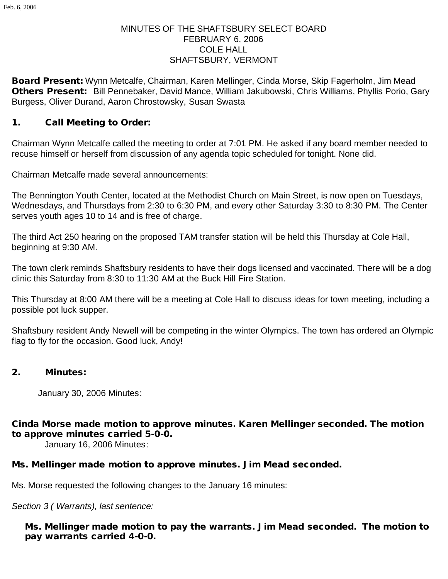### MINUTES OF THE SHAFTSBURY SELECT BOARD FEBRUARY 6, 2006 COLE HALL SHAFTSBURY, VERMONT

Board Present: Wynn Metcalfe, Chairman, Karen Mellinger, Cinda Morse, Skip Fagerholm, Jim Mead Others Present: Bill Pennebaker, David Mance, William Jakubowski, Chris Williams, Phyllis Porio, Gary Burgess, Oliver Durand, Aaron Chrostowsky, Susan Swasta

#### 1. Call Meeting to Order:

Chairman Wynn Metcalfe called the meeting to order at 7:01 PM. He asked if any board member needed to recuse himself or herself from discussion of any agenda topic scheduled for tonight. None did.

Chairman Metcalfe made several announcements:

The Bennington Youth Center, located at the Methodist Church on Main Street, is now open on Tuesdays, Wednesdays, and Thursdays from 2:30 to 6:30 PM, and every other Saturday 3:30 to 8:30 PM. The Center serves youth ages 10 to 14 and is free of charge.

The third Act 250 hearing on the proposed TAM transfer station will be held this Thursday at Cole Hall, beginning at 9:30 AM.

The town clerk reminds Shaftsbury residents to have their dogs licensed and vaccinated. There will be a dog clinic this Saturday from 8:30 to 11:30 AM at the Buck Hill Fire Station.

This Thursday at 8:00 AM there will be a meeting at Cole Hall to discuss ideas for town meeting, including a possible pot luck supper.

Shaftsbury resident Andy Newell will be competing in the winter Olympics. The town has ordered an Olympic flag to fly for the occasion. Good luck, Andy!

#### 2. Minutes:

January 30, 2006 Minutes:

### Cinda Morse made motion to approve minutes. Karen Mellinger seconded. The motion to approve minutes carried 5-0-0.

January 16, 2006 Minutes:

## Ms. Mellinger made motion to approve minutes. Jim Mead seconded.

Ms. Morse requested the following changes to the January 16 minutes:

*Section 3 ( Warrants), last sentence:*

Ms. Mellinger made motion to pay the warrants. Jim Mead seconded. The motion to pay warrants carried 4-0-0.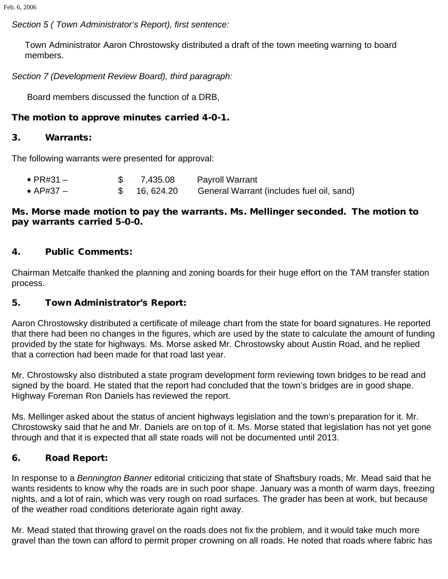*Section 5 ( Town Administrator's Report), first sentence:*

Town Administrator Aaron Chrostowsky distributed a draft of the town meeting warning to board members.

*Section 7 (Development Review Board), third paragraph:*

Board members discussed the function of a DRB,

### The motion to approve minutes carried 4-0-1.

#### 3. Warrants:

The following warrants were presented for approval:

| $\bullet$ PR#31 $-$ | \$7,435.08   | <b>Payroll Warrant</b>                    |
|---------------------|--------------|-------------------------------------------|
| $\bullet$ AP#37 $-$ | \$ 16,624.20 | General Warrant (includes fuel oil, sand) |

#### Ms. Morse made motion to pay the warrants. Ms. Mellinger seconded. The motion to pay warrants carried 5-0-0.

#### 4. Public Comments:

Chairman Metcalfe thanked the planning and zoning boards for their huge effort on the TAM transfer station process.

### 5. Town Administrator's Report:

Aaron Chrostowsky distributed a certificate of mileage chart from the state for board signatures. He reported that there had been no changes in the figures, which are used by the state to calculate the amount of funding provided by the state for highways. Ms. Morse asked Mr. Chrostowsky about Austin Road, and he replied that a correction had been made for that road last year.

Mr. Chrostowsky also distributed a state program development form reviewing town bridges to be read and signed by the board. He stated that the report had concluded that the town's bridges are in good shape. Highway Foreman Ron Daniels has reviewed the report.

Ms. Mellinger asked about the status of ancient highways legislation and the town's preparation for it. Mr. Chrostowsky said that he and Mr. Daniels are on top of it. Ms. Morse stated that legislation has not yet gone through and that it is expected that all state roads will not be documented until 2013.

### 6. Road Report:

In response to a *Bennington Banner* editorial criticizing that state of Shaftsbury roads, Mr. Mead said that he wants residents to know why the roads are in such poor shape. January was a month of warm days, freezing nights, and a lot of rain, which was very rough on road surfaces. The grader has been at work, but because of the weather road conditions deteriorate again right away.

Mr. Mead stated that throwing gravel on the roads does not fix the problem, and it would take much more gravel than the town can afford to permit proper crowning on all roads. He noted that roads where fabric has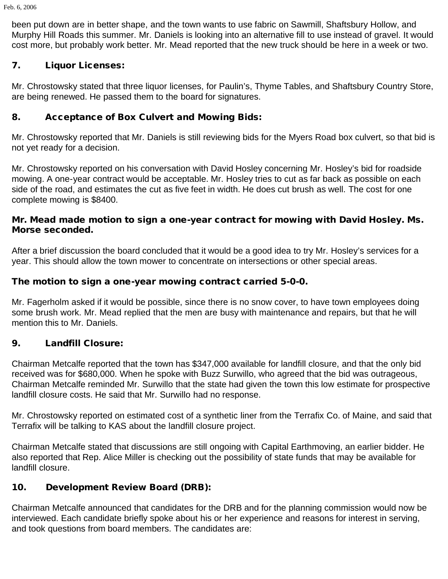been put down are in better shape, and the town wants to use fabric on Sawmill, Shaftsbury Hollow, and Murphy Hill Roads this summer. Mr. Daniels is looking into an alternative fill to use instead of gravel. It would cost more, but probably work better. Mr. Mead reported that the new truck should be here in a week or two.

## 7. Liquor Licenses:

Mr. Chrostowsky stated that three liquor licenses, for Paulin's, Thyme Tables, and Shaftsbury Country Store, are being renewed. He passed them to the board for signatures.

## 8. Acceptance of Box Culvert and Mowing Bids:

Mr. Chrostowsky reported that Mr. Daniels is still reviewing bids for the Myers Road box culvert, so that bid is not yet ready for a decision.

Mr. Chrostowsky reported on his conversation with David Hosley concerning Mr. Hosley's bid for roadside mowing. A one-year contract would be acceptable. Mr. Hosley tries to cut as far back as possible on each side of the road, and estimates the cut as five feet in width. He does cut brush as well. The cost for one complete mowing is \$8400.

### Mr. Mead made motion to sign a one-year contract for mowing with David Hosley. Ms. Morse seconded.

After a brief discussion the board concluded that it would be a good idea to try Mr. Hosley's services for a year. This should allow the town mower to concentrate on intersections or other special areas.

## The motion to sign a one-year mowing contract carried 5-0-0.

Mr. Fagerholm asked if it would be possible, since there is no snow cover, to have town employees doing some brush work. Mr. Mead replied that the men are busy with maintenance and repairs, but that he will mention this to Mr. Daniels.

## 9. Landfill Closure:

Chairman Metcalfe reported that the town has \$347,000 available for landfill closure, and that the only bid received was for \$680,000. When he spoke with Buzz Surwillo, who agreed that the bid was outrageous, Chairman Metcalfe reminded Mr. Surwillo that the state had given the town this low estimate for prospective landfill closure costs. He said that Mr. Surwillo had no response.

Mr. Chrostowsky reported on estimated cost of a synthetic liner from the Terrafix Co. of Maine, and said that Terrafix will be talking to KAS about the landfill closure project.

Chairman Metcalfe stated that discussions are still ongoing with Capital Earthmoving, an earlier bidder. He also reported that Rep. Alice Miller is checking out the possibility of state funds that may be available for landfill closure.

## 10. Development Review Board (DRB):

Chairman Metcalfe announced that candidates for the DRB and for the planning commission would now be interviewed. Each candidate briefly spoke about his or her experience and reasons for interest in serving, and took questions from board members. The candidates are: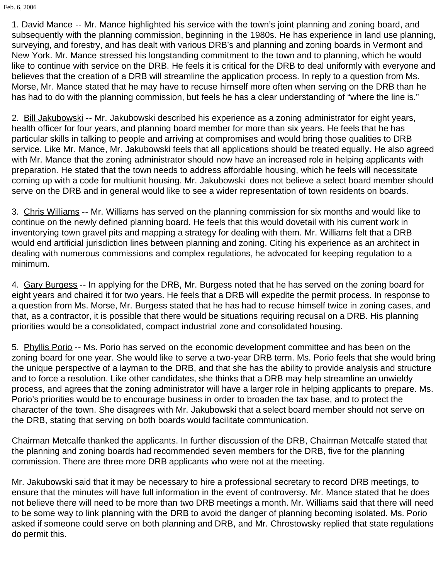Feb. 6, 2006

1. David Mance -- Mr. Mance highlighted his service with the town's joint planning and zoning board, and subsequently with the planning commission, beginning in the 1980s. He has experience in land use planning, surveying, and forestry, and has dealt with various DRB's and planning and zoning boards in Vermont and New York. Mr. Mance stressed his longstanding commitment to the town and to planning, which he would like to continue with service on the DRB. He feels it is critical for the DRB to deal uniformly with everyone and believes that the creation of a DRB will streamline the application process. In reply to a question from Ms. Morse, Mr. Mance stated that he may have to recuse himself more often when serving on the DRB than he has had to do with the planning commission, but feels he has a clear understanding of "where the line is."

2. Bill Jakubowski -- Mr. Jakubowski described his experience as a zoning administrator for eight years, health officer for four years, and planning board member for more than six years. He feels that he has particular skills in talking to people and arriving at compromises and would bring those qualities to DRB service. Like Mr. Mance, Mr. Jakubowski feels that all applications should be treated equally. He also agreed with Mr. Mance that the zoning administrator should now have an increased role in helping applicants with preparation. He stated that the town needs to address affordable housing, which he feels will necessitate coming up with a code for multiunit housing. Mr. Jakubowski does not believe a select board member should serve on the DRB and in general would like to see a wider representation of town residents on boards.

3. Chris Williams -- Mr. Williams has served on the planning commission for six months and would like to continue on the newly defined planning board. He feels that this would dovetail with his current work in inventorying town gravel pits and mapping a strategy for dealing with them. Mr. Williams felt that a DRB would end artificial jurisdiction lines between planning and zoning. Citing his experience as an architect in dealing with numerous commissions and complex regulations, he advocated for keeping regulation to a minimum.

4. Gary Burgess -- In applying for the DRB, Mr. Burgess noted that he has served on the zoning board for eight years and chaired it for two years. He feels that a DRB will expedite the permit process. In response to a question from Ms. Morse, Mr. Burgess stated that he has had to recuse himself twice in zoning cases, and that, as a contractor, it is possible that there would be situations requiring recusal on a DRB. His planning priorities would be a consolidated, compact industrial zone and consolidated housing.

5. Phyllis Porio -- Ms. Porio has served on the economic development committee and has been on the zoning board for one year. She would like to serve a two-year DRB term. Ms. Porio feels that she would bring the unique perspective of a layman to the DRB, and that she has the ability to provide analysis and structure and to force a resolution. Like other candidates, she thinks that a DRB may help streamline an unwieldy process, and agrees that the zoning administrator will have a larger role in helping applicants to prepare. Ms. Porio's priorities would be to encourage business in order to broaden the tax base, and to protect the character of the town. She disagrees with Mr. Jakubowski that a select board member should not serve on the DRB, stating that serving on both boards would facilitate communication.

Chairman Metcalfe thanked the applicants. In further discussion of the DRB, Chairman Metcalfe stated that the planning and zoning boards had recommended seven members for the DRB, five for the planning commission. There are three more DRB applicants who were not at the meeting.

Mr. Jakubowski said that it may be necessary to hire a professional secretary to record DRB meetings, to ensure that the minutes will have full information in the event of controversy. Mr. Mance stated that he does not believe there will need to be more than two DRB meetings a month. Mr. Williams said that there will need to be some way to link planning with the DRB to avoid the danger of planning becoming isolated. Ms. Porio asked if someone could serve on both planning and DRB, and Mr. Chrostowsky replied that state regulations do permit this.